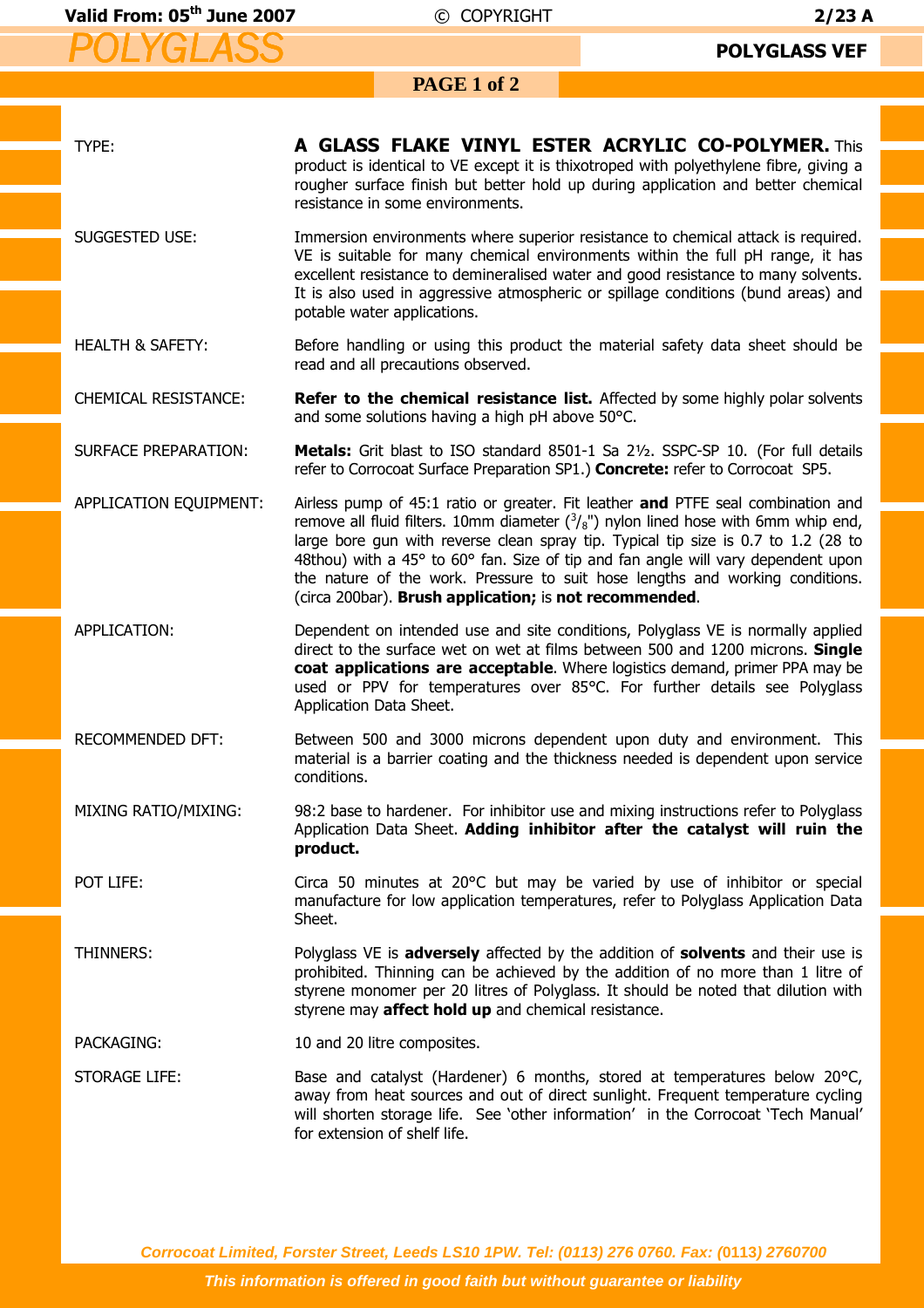## **PAGE 1 of 2**

| TYPE:                       | A GLASS FLAKE VINYL ESTER ACRYLIC CO-POLYMER. This<br>product is identical to VE except it is thixotroped with polyethylene fibre, giving a<br>rougher surface finish but better hold up during application and better chemical<br>resistance in some environments.                                                                                                                                                                                                                                     |
|-----------------------------|---------------------------------------------------------------------------------------------------------------------------------------------------------------------------------------------------------------------------------------------------------------------------------------------------------------------------------------------------------------------------------------------------------------------------------------------------------------------------------------------------------|
| SUGGESTED USE:              | Immersion environments where superior resistance to chemical attack is required.<br>VE is suitable for many chemical environments within the full pH range, it has<br>excellent resistance to demineralised water and good resistance to many solvents.<br>It is also used in aggressive atmospheric or spillage conditions (bund areas) and<br>potable water applications.                                                                                                                             |
| <b>HEALTH &amp; SAFETY:</b> | Before handling or using this product the material safety data sheet should be<br>read and all precautions observed.                                                                                                                                                                                                                                                                                                                                                                                    |
| <b>CHEMICAL RESISTANCE:</b> | Refer to the chemical resistance list. Affected by some highly polar solvents<br>and some solutions having a high pH above 50°C.                                                                                                                                                                                                                                                                                                                                                                        |
| <b>SURFACE PREPARATION:</b> | Metals: Grit blast to ISO standard 8501-1 Sa 21/2. SSPC-SP 10. (For full details<br>refer to Corrocoat Surface Preparation SP1.) Concrete: refer to Corrocoat SP5.                                                                                                                                                                                                                                                                                                                                      |
| APPLICATION EQUIPMENT:      | Airless pump of 45:1 ratio or greater. Fit leather and PTFE seal combination and<br>remove all fluid filters. 10mm diameter $\binom{3}{8}$ ") nylon lined hose with 6mm whip end,<br>large bore gun with reverse clean spray tip. Typical tip size is 0.7 to 1.2 (28 to<br>48thou) with a 45° to 60° fan. Size of tip and fan angle will vary dependent upon<br>the nature of the work. Pressure to suit hose lengths and working conditions.<br>(circa 200bar). Brush application; is not recommended. |
| APPLICATION:                | Dependent on intended use and site conditions, Polyglass VE is normally applied<br>direct to the surface wet on wet at films between 500 and 1200 microns. Single<br>coat applications are acceptable. Where logistics demand, primer PPA may be<br>used or PPV for temperatures over 85°C. For further details see Polyglass<br>Application Data Sheet.                                                                                                                                                |
| RECOMMENDED DFT:            | Between 500 and 3000 microns dependent upon duty and environment. This<br>material is a barrier coating and the thickness needed is dependent upon service<br>conditions.                                                                                                                                                                                                                                                                                                                               |
| MIXING RATIO/MIXING:        | 98:2 base to hardener. For inhibitor use and mixing instructions refer to Polyglass<br>Application Data Sheet. Adding inhibitor after the catalyst will ruin the<br>product.                                                                                                                                                                                                                                                                                                                            |
| POT LIFE:                   | Circa 50 minutes at 20°C but may be varied by use of inhibitor or special<br>manufacture for low application temperatures, refer to Polyglass Application Data<br>Sheet.                                                                                                                                                                                                                                                                                                                                |
| THINNERS:                   | Polyglass VE is adversely affected by the addition of solvents and their use is<br>prohibited. Thinning can be achieved by the addition of no more than 1 litre of<br>styrene monomer per 20 litres of Polyglass. It should be noted that dilution with<br>styrene may affect hold up and chemical resistance.                                                                                                                                                                                          |
| PACKAGING:                  | 10 and 20 litre composites.                                                                                                                                                                                                                                                                                                                                                                                                                                                                             |
| <b>STORAGE LIFE:</b>        | Base and catalyst (Hardener) 6 months, stored at temperatures below 20°C,<br>away from heat sources and out of direct sunlight. Frequent temperature cycling<br>will shorten storage life. See 'other information' in the Corrocoat 'Tech Manual'<br>for extension of shelf life.                                                                                                                                                                                                                       |

**Corrocoat Limited, Forster Street, Leeds LS10 1PW. Tel: (0113) 276 0760. Fax: (0113) 2760700**